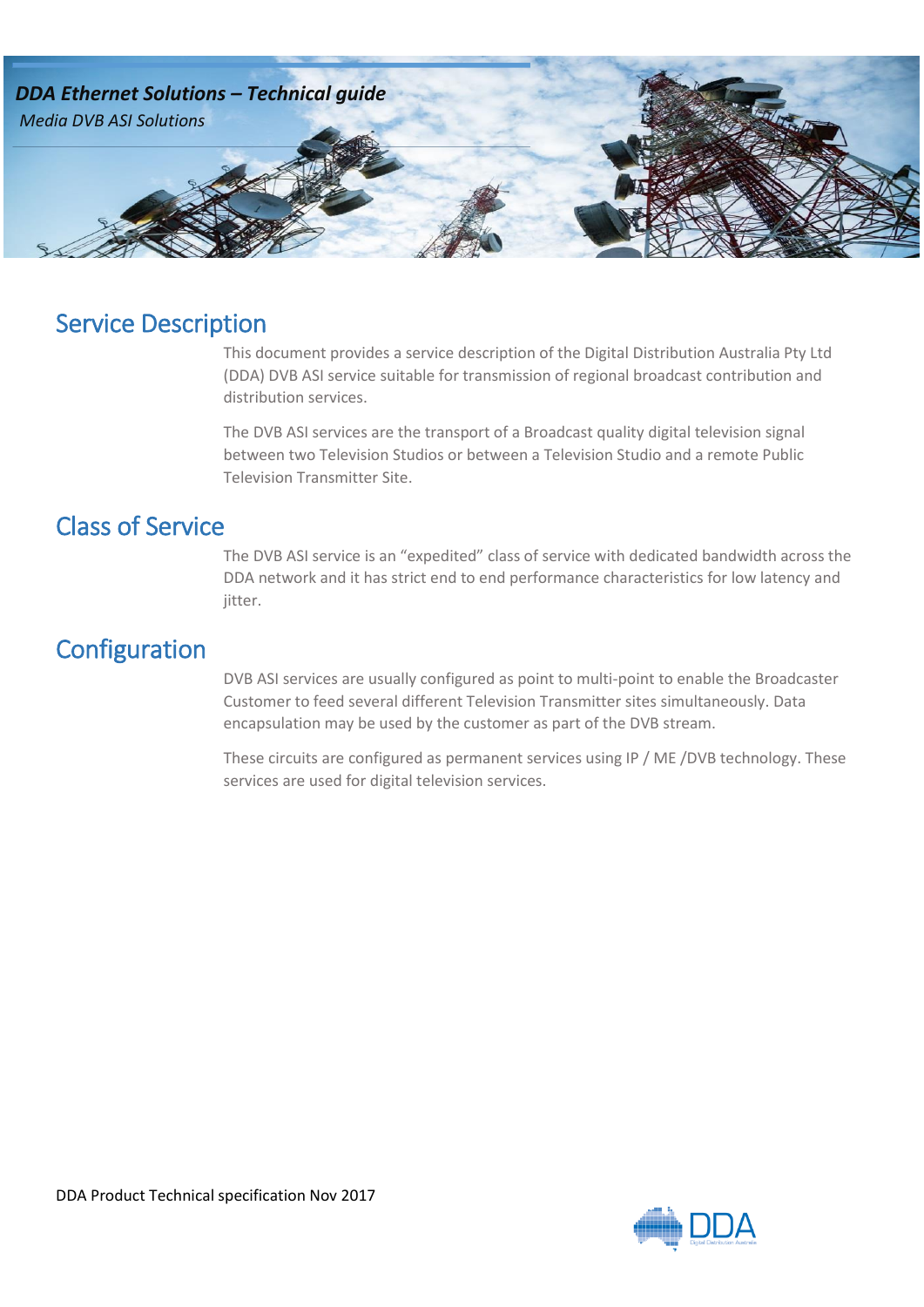

## Service Description

This document provides a service description of the Digital Distribution Australia Pty Ltd (DDA) DVB ASI service suitable for transmission of regional broadcast contribution and distribution services.

The DVB ASI services are the transport of a Broadcast quality digital television signal between two Television Studios or between a Television Studio and a remote Public Television Transmitter Site.

## Class of Service

The DVB ASI service is an "expedited" class of service with dedicated bandwidth across the DDA network and it has strict end to end performance characteristics for low latency and jitter.

## **Configuration**

DVB ASI services are usually configured as point to multi-point to enable the Broadcaster Customer to feed several different Television Transmitter sites simultaneously. Data encapsulation may be used by the customer as part of the DVB stream.

These circuits are configured as permanent services using IP / ME /DVB technology. These services are used for digital television services.